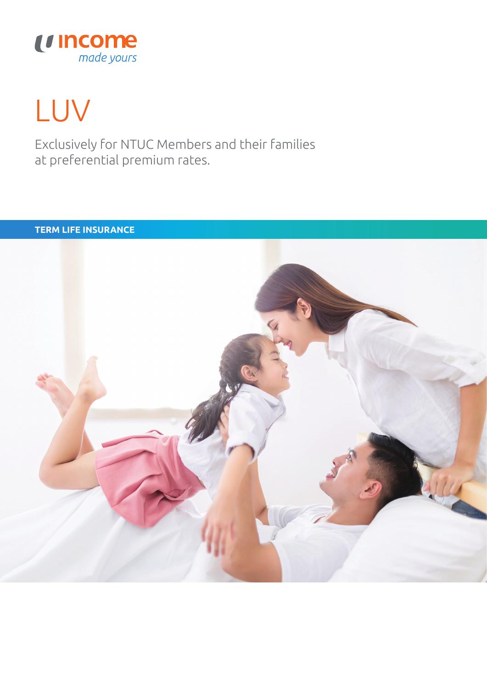

# LUV

Exclusively for NTUC Members and their families at preferential premium rates.

#### **TERM LIFE INSURANCE**

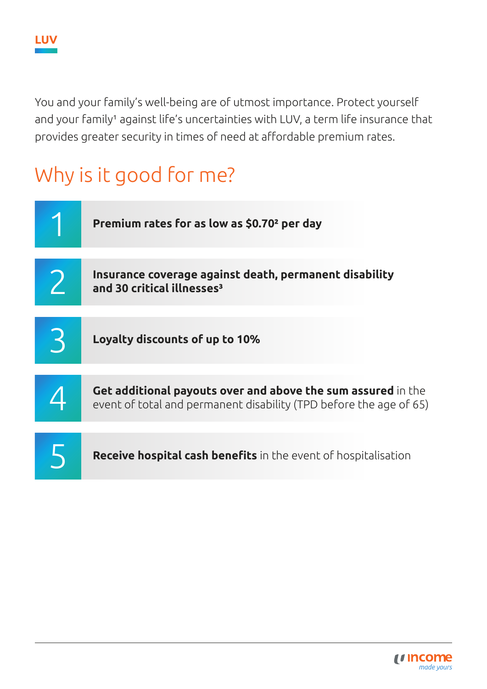You and your family's well-being are of utmost importance. Protect yourself and your family<sup>1</sup> against life's uncertainties with LUV, a term life insurance that provides greater security in times of need at affordable premium rates.

## Why is it good for me?

| Premium rates for as low as \$0.70 <sup>2</sup> per day                                                                            |
|------------------------------------------------------------------------------------------------------------------------------------|
| Insurance coverage against death, permanent disability<br>and 30 critical illnesses <sup>3</sup>                                   |
| Loyalty discounts of up to 10%                                                                                                     |
| Get additional payouts over and above the sum assured in the<br>event of total and permanent disability (TPD before the age of 65) |
| Receive hospital cash benefits in the event of hospitalisation                                                                     |

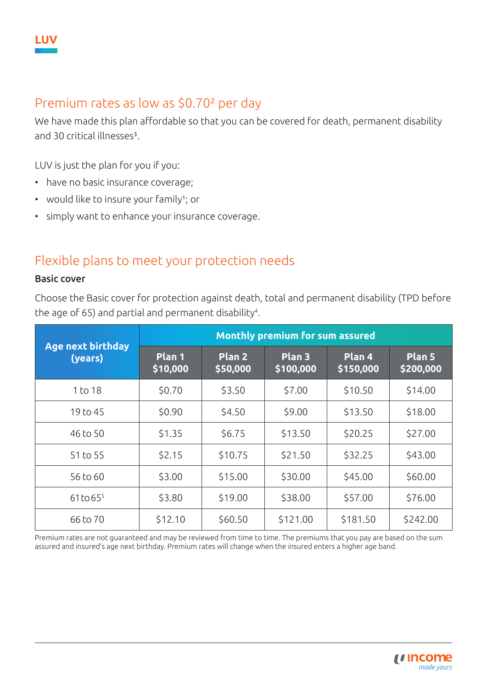

## Premium rates as low as \$0.70² per day

We have made this plan affordable so that you can be covered for death, permanent disability and 30 critical illnesses<sup>3</sup>.

LUV is just the plan for you if you:

- have no basic insurance coverage;
- would like to insure your family<sup>1</sup>; or
- simply want to enhance your insurance coverage.

## Flexible plans to meet your protection needs

#### Basic cover

Choose the Basic cover for protection against death, total and permanent disability (TPD before the age of 65) and partial and permanent disability<sup>4</sup>.

|                                     | <b>Monthly premium for sum assured</b> |                                |                     |                     |                     |  |
|-------------------------------------|----------------------------------------|--------------------------------|---------------------|---------------------|---------------------|--|
| <b>Age next birthday</b><br>(years) | Plan 1<br>\$10,000                     | Plan <sub>2</sub><br> \$50,000 | Plan 3<br>\$100,000 | Plan 4<br>\$150,000 | Plan 5<br>\$200,000 |  |
| 1 to 18                             | \$0.70                                 | \$3.50                         | \$7.00              | \$10.50             | \$14.00             |  |
| 19 to 45                            | \$0.90                                 | \$4.50                         | \$9.00              | \$13.50             | \$18.00             |  |
| 46 to 50                            | \$1.35                                 | \$6.75                         | \$13.50             | \$20.25             | \$27.00             |  |
| 51 to 55                            | \$2.15                                 | \$10.75                        | \$21.50             | \$32.25             | \$43.00             |  |
| 56 to 60                            | \$3.00                                 | \$15.00                        | \$30.00             | \$45.00             | \$60.00             |  |
| $61$ to $65^{5}$                    | \$3.80                                 | \$19.00                        | \$38.00             | \$57.00             | \$76.00             |  |
| 66 to 70                            | \$12.10                                | \$60.50                        | \$121.00            | \$181.50            | \$242.00            |  |

Premium rates are not guaranteed and may be reviewed from time to time. The premiums that you pay are based on the sum assured and insured's age next birthday. Premium rates will change when the insured enters a higher age band.

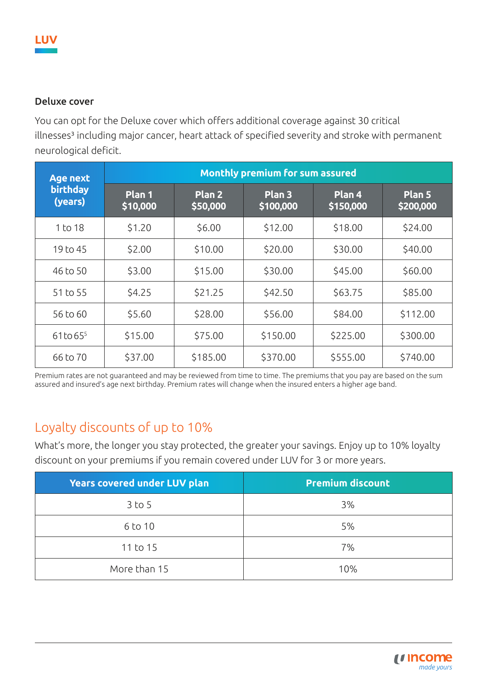#### Deluxe cover

You can opt for the Deluxe cover which offers additional coverage against 30 critical illnesses<sup>3</sup> including major cancer, heart attack of specified severity and stroke with permanent neurological deficit.

| <b>Age next</b>     | <b>Monthly premium for sum assured</b> |                    |                                |                     |                                |  |
|---------------------|----------------------------------------|--------------------|--------------------------------|---------------------|--------------------------------|--|
| birthday<br>(years) | Plan 1<br>\$10,000                     | Plan 2<br>\$50,000 | Plan <sub>3</sub><br>\$100,000 | Plan 4<br>\$150,000 | Plan <sub>5</sub><br>\$200,000 |  |
| 1 to 18             | \$1.20                                 | \$6.00             | \$12.00                        | \$18.00             | \$24.00                        |  |
| 19 to 45            | \$2.00                                 | \$10.00            | \$20.00                        | \$30.00             | \$40.00                        |  |
| 46 to 50            | \$3.00                                 | \$15.00            | \$30.00                        | \$45.00             | \$60.00                        |  |
| 51 to 55            | \$4.25                                 | \$21.25            | \$42.50                        | \$63.75             | \$85.00                        |  |
| 56 to 60            | \$5.60                                 | \$28.00            | \$56.00                        | \$84.00             | \$112.00                       |  |
| $61$ to $65^{5}$    | \$15.00                                | \$75.00            | \$150.00                       | \$225.00            | \$300.00                       |  |
| 66 to 70            | \$37.00                                | \$185.00           | \$370.00                       | \$555.00            | \$740.00                       |  |

Premium rates are not guaranteed and may be reviewed from time to time. The premiums that you pay are based on the sum assured and insured's age next birthday. Premium rates will change when the insured enters a higher age band.

## Loyalty discounts of up to 10%

What's more, the longer you stay protected, the greater your savings. Enjoy up to 10% loyalty discount on your premiums if you remain covered under LUV for 3 or more years.

| Years covered under LUV plan | <b>Premium discount</b> |
|------------------------------|-------------------------|
| $3$ to $5$                   | 3%                      |
| 6 to 10                      | 5%                      |
| 11 to 15                     | 7%                      |
| More than 15                 | 10%                     |

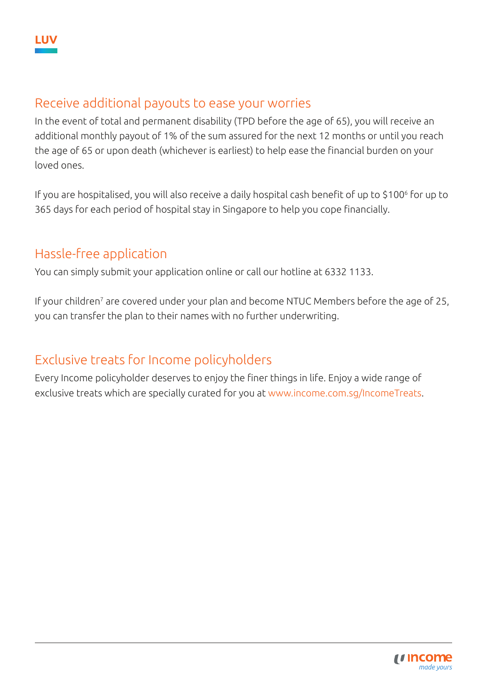## Receive additional payouts to ease your worries

In the event of total and permanent disability (TPD before the age of 65), you will receive an additional monthly payout of 1% of the sum assured for the next 12 months or until you reach the age of 65 or upon death (whichever is earliest) to help ease the financial burden on your loved ones.

If you are hospitalised, you will also receive a daily hospital cash benefit of up to \$100<sup>6</sup> for up to 365 days for each period of hospital stay in Singapore to help you cope financially.

## Hassle-free application

You can simply submit your application online or call our hotline at 6332 1133.

If your children<sup>7</sup> are covered under your plan and become NTUC Members before the age of 25, you can transfer the plan to their names with no further underwriting.

## Exclusive treats for Income policyholders

Every Income policyholder deserves to enjoy the finer things in life. Enjoy a wide range of exclusive treats which are specially curated for you at www.income.com.sg/IncomeTreats.

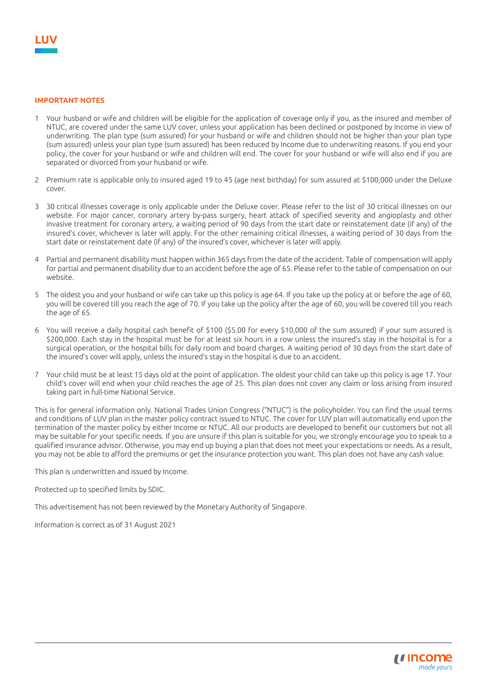#### **IMPORTANT NOTES**

- 1 Your husband or wife and children will be eligible for the application of coverage only if you, as the insured and member of NTUC, are covered under the same LUV cover, unless your application has been declined or postponed by Income in view of underwriting. The plan type (sum assured) for your husband or wife and children should not be higher than your plan type (sum assured) unless your plan type (sum assured) has been reduced by Income due to underwriting reasons. If you end your policy, the cover for your husband or wife and children will end. The cover for your husband or wife will also end if you are separated or divorced from your husband or wife.
- 2 Premium rate is applicable only to insured aged 19 to 45 (age next birthday) for sum assured at \$100,000 under the Deluxe cover.
- 3 30 critical illnesses coverage is only applicable under the Deluxe cover. Please refer to the list of 30 critical illnesses on our website. For major cancer, coronary artery by-pass surgery, heart attack of specified severity and angioplasty and other invasive treatment for coronary artery, a waiting period of 90 days from the start date or reinstatement date (if any) of the insured's cover, whichever is later will apply. For the other remaining critical illnesses, a waiting period of 30 days from the start date or reinstatement date (if any) of the insured's cover, whichever is later will apply.
- 4 Partial and permanent disability must happen within 365 days from the date of the accident. Table of compensation will apply for partial and permanent disability due to an accident before the age of 65. Please refer to the table of compensation on our website.
- 5 The oldest you and your husband or wife can take up this policy is age 64. If you take up the policy at or before the age of 60, you will be covered till you reach the age of 70. If you take up the policy after the age of 60, you will be covered till you reach the age of 65.
- 6 You will receive a daily hospital cash benefit of \$100 (\$5.00 for every \$10,000 of the sum assured) if your sum assured is \$200,000. Each stay in the hospital must be for at least six hours in a row unless the insured's stay in the hospital is for a surgical operation, or the hospital bills for daily room and board charges. A waiting period of 30 days from the start date of the insured's cover will apply, unless the insured's stay in the hospital is due to an accident.
- 7 Your child must be at least 15 days old at the point of application. The oldest your child can take up this policy is age 17. Your child's cover will end when your child reaches the age of 25. This plan does not cover any claim or loss arising from insured taking part in full-time National Service.

This is for general information only. National Trades Union Congress ("NTUC") is the policyholder. You can find the usual terms and conditions of LUV plan in the master policy contract issued to NTUC. The cover for LUV plan will automatically end upon the termination of the master policy by either Income or NTUC. All our products are developed to benefit our customers but not all may be suitable for your specific needs. If you are unsure if this plan is suitable for you, we strongly encourage you to speak to a qualified insurance advisor. Otherwise, you may end up buying a plan that does not meet your expectations or needs. As a result, you may not be able to afford the premiums or get the insurance protection you want. This plan does not have any cash value.

This plan is underwritten and issued by Income.

Protected up to specified limits by SDIC.

This advertisement has not been reviewed by the Monetary Authority of Singapore.

Information is correct as of 31 August 2021